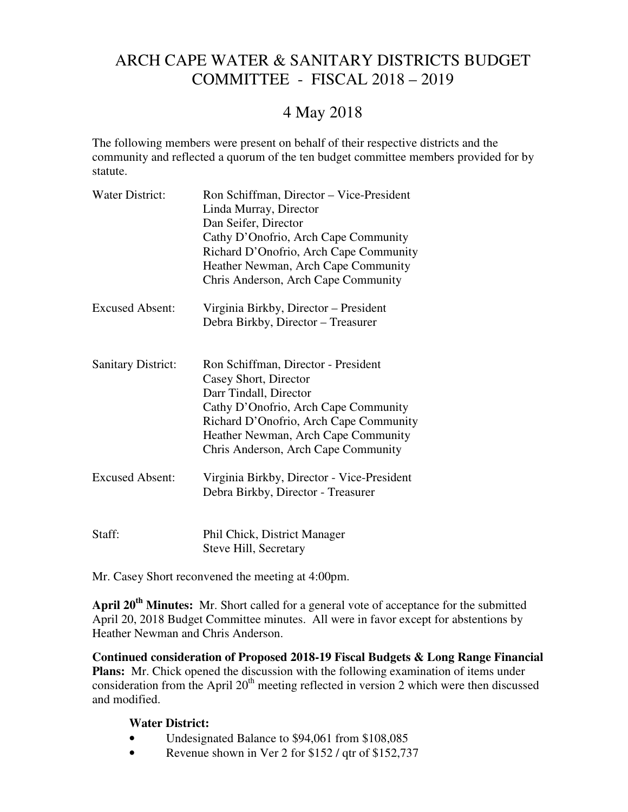## ARCH CAPE WATER & SANITARY DISTRICTS BUDGET COMMITTEE - FISCAL 2018 – 2019

## 4 May 2018

The following members were present on behalf of their respective districts and the community and reflected a quorum of the ten budget committee members provided for by statute.

| Water District:           | Ron Schiffman, Director - Vice-President<br>Linda Murray, Director<br>Dan Seifer, Director<br>Cathy D'Onofrio, Arch Cape Community<br>Richard D'Onofrio, Arch Cape Community<br>Heather Newman, Arch Cape Community<br>Chris Anderson, Arch Cape Community |
|---------------------------|------------------------------------------------------------------------------------------------------------------------------------------------------------------------------------------------------------------------------------------------------------|
| <b>Excused Absent:</b>    | Virginia Birkby, Director - President<br>Debra Birkby, Director - Treasurer                                                                                                                                                                                |
| <b>Sanitary District:</b> | Ron Schiffman, Director - President<br>Casey Short, Director<br>Darr Tindall, Director<br>Cathy D'Onofrio, Arch Cape Community<br>Richard D'Onofrio, Arch Cape Community<br>Heather Newman, Arch Cape Community<br>Chris Anderson, Arch Cape Community     |
| <b>Excused Absent:</b>    | Virginia Birkby, Director - Vice-President<br>Debra Birkby, Director - Treasurer                                                                                                                                                                           |
| Staff:                    | Phil Chick, District Manager<br>Steve Hill, Secretary                                                                                                                                                                                                      |

Mr. Casey Short reconvened the meeting at 4:00pm.

**April 20th Minutes:** Mr. Short called for a general vote of acceptance for the submitted April 20, 2018 Budget Committee minutes. All were in favor except for abstentions by Heather Newman and Chris Anderson.

**Continued consideration of Proposed 2018-19 Fiscal Budgets & Long Range Financial Plans:** Mr. Chick opened the discussion with the following examination of items under consideration from the April  $20<sup>th</sup>$  meeting reflected in version 2 which were then discussed and modified.

## **Water District:**

- Undesignated Balance to \$94,061 from \$108,085
- Revenue shown in Ver 2 for \$152 / qtr of \$152,737